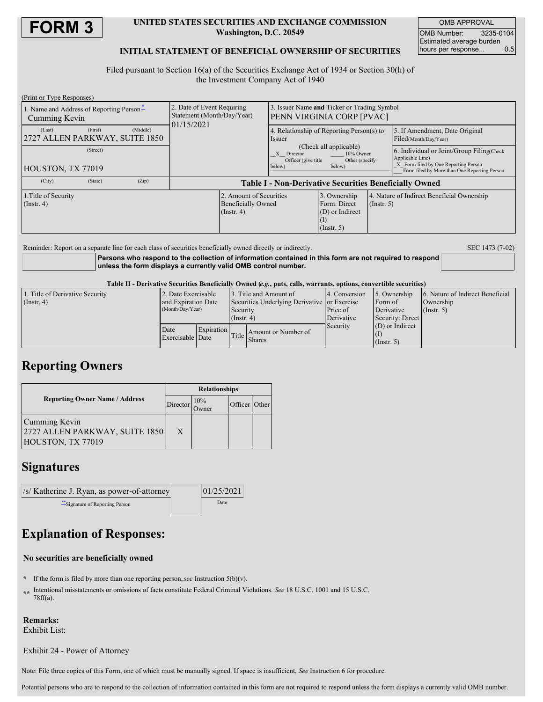

### **UNITED STATES SECURITIES AND EXCHANGE COMMISSION Washington, D.C. 20549**

OMB APPROVAL OMB Number: 3235-0104 Estimated average burden hours per response... 0.5

### **INITIAL STATEMENT OF BENEFICIAL OWNERSHIP OF SECURITIES**

Filed pursuant to Section 16(a) of the Securities Exchange Act of 1934 or Section 30(h) of the Investment Company Act of 1940

| (Print or Type Responses)                                 |                                                                        |                                                               |                                                                                            |                                                           |                                                                     |                                                                                                       |                                                         |  |
|-----------------------------------------------------------|------------------------------------------------------------------------|---------------------------------------------------------------|--------------------------------------------------------------------------------------------|-----------------------------------------------------------|---------------------------------------------------------------------|-------------------------------------------------------------------------------------------------------|---------------------------------------------------------|--|
| 1. Name and Address of Reporting Person-<br>Cumming Kevin | 2. Date of Event Requiring<br>Statement (Month/Day/Year)<br>01/15/2021 |                                                               | 3. Issuer Name and Ticker or Trading Symbol<br><b>PENN VIRGINIA CORP [PVAC]</b>            |                                                           |                                                                     |                                                                                                       |                                                         |  |
| (First)<br>(Last)<br>2727 ALLEN PARKWAY, SUITE 1850       | (Middle)                                                               |                                                               |                                                                                            | 4. Relationship of Reporting Person(s) to<br><i>ssuer</i> |                                                                     |                                                                                                       | 5. If Amendment, Date Original<br>Filed(Month/Day/Year) |  |
| (Street)                                                  |                                                                        |                                                               | (Check all applicable)<br>10% Owner<br>X Director<br>Officer (give title<br>Other (specify |                                                           |                                                                     | 6. Individual or Joint/Group Filing(Check<br>Applicable Line)<br>X Form filed by One Reporting Person |                                                         |  |
| HOUSTON, TX 77019                                         |                                                                        |                                                               |                                                                                            | below)<br>below)                                          |                                                                     |                                                                                                       | Form filed by More than One Reporting Person            |  |
| (City)<br>(State)                                         | (Zip)                                                                  | <b>Table I - Non-Derivative Securities Beneficially Owned</b> |                                                                                            |                                                           |                                                                     |                                                                                                       |                                                         |  |
| 1. Title of Security<br>$($ Instr. 4 $)$                  |                                                                        |                                                               | 2. Amount of Securities<br><b>Beneficially Owned</b><br>$($ Instr. 4 $)$                   |                                                           | 3. Ownership<br>Form: Direct<br>(D) or Indirect<br>$($ Instr. 5 $)$ | 4. Nature of Indirect Beneficial Ownership<br>$($ Instr. 5 $)$                                        |                                                         |  |
|                                                           |                                                                        |                                                               |                                                                                            |                                                           |                                                                     |                                                                                                       |                                                         |  |

Reminder: Report on a separate line for each class of securities beneficially owned directly or indirectly. SEC 1473 (7-02)

**Persons who respond to the collection of information contained in this form are not required to respond unless the form displays a currently valid OMB control number.**

Table II - Derivative Securities Beneficially Owned (e.g., puts, calls, warrants, options, convertible securities)

| 1. Title of Derivative Security | 2. Date Exercisable      |            | 3. Title and Amount of                       |                     | 14. Conversion | 5. Ownership      | 6. Nature of Indirect Beneficial |
|---------------------------------|--------------------------|------------|----------------------------------------------|---------------------|----------------|-------------------|----------------------------------|
| $($ Instr. 4)                   | and Expiration Date      |            | Securities Underlying Derivative or Exercise |                     |                | Form of           | Ownership                        |
|                                 | (Month/Day/Year)         |            | Security                                     |                     | Price of       | Derivative        | (Insert, 5)                      |
|                                 |                          |            | $($ Instr. 4)                                |                     | Derivative     | Security: Direct  |                                  |
|                                 | Date<br>Exercisable Date | Expiration | Title                                        |                     | Security       | $(D)$ or Indirect |                                  |
|                                 |                          |            |                                              | Amount or Number of |                |                   |                                  |
|                                 |                          |            |                                              | <b>Shares</b>       |                | $($ Instr. 5)     |                                  |

# **Reporting Owners**

|                                                                      | <b>Relationships</b> |              |               |  |  |  |
|----------------------------------------------------------------------|----------------------|--------------|---------------|--|--|--|
| <b>Reporting Owner Name / Address</b>                                | Director             | 10%<br>Owner | Officer Other |  |  |  |
| Cumming Kevin<br>2727 ALLEN PARKWAY, SUITE 1850<br>HOUSTON, TX 77019 | X                    |              |               |  |  |  |

# **Signatures**

| /s/ Katherine J. Ryan, as power-of-attorney | 01/25/2021 |
|---------------------------------------------|------------|
| Signature of Reporting Person               | Date       |

# **Explanation of Responses:**

### **No securities are beneficially owned**

- **\*** If the form is filed by more than one reporting person,*see* Instruction 5(b)(v).
- **\*\*** Intentional misstatements or omissions of facts constitute Federal Criminal Violations. *See* 18 U.S.C. 1001 and 15 U.S.C. 78ff(a).

### **Remarks:**

Exhibit List:

Exhibit 24 - Power of Attorney

Note: File three copies of this Form, one of which must be manually signed. If space is insufficient, *See* Instruction 6 for procedure.

Potential persons who are to respond to the collection of information contained in this form are not required to respond unless the form displays a currently valid OMB number.